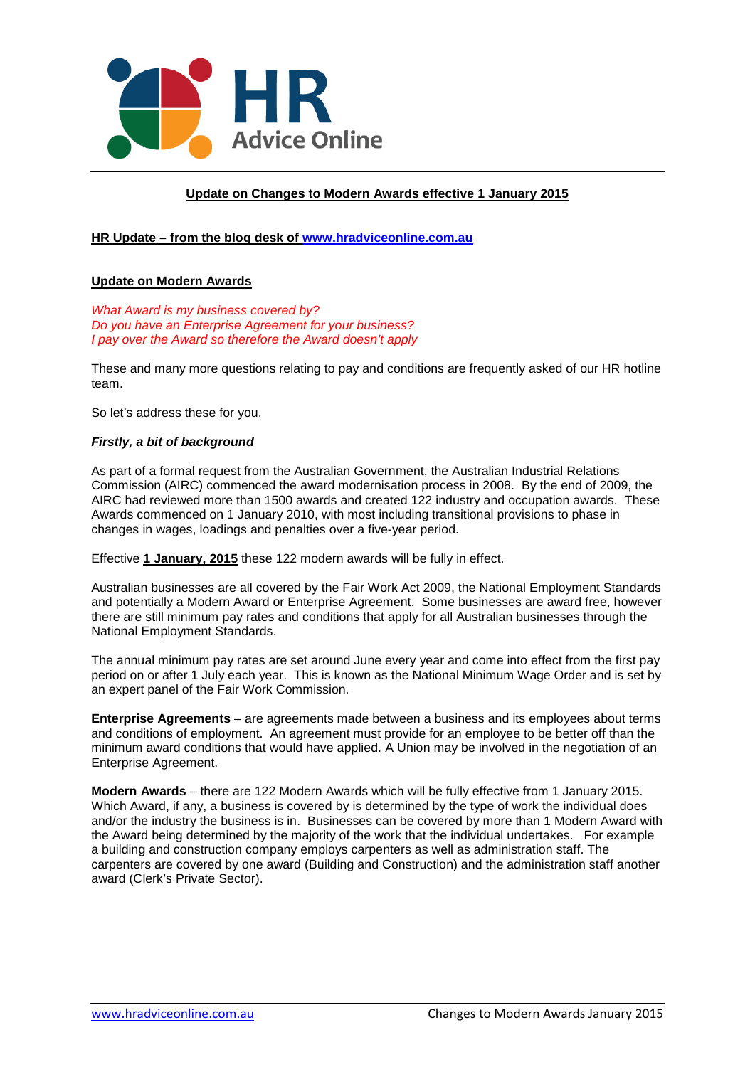

# **Update on Changes to Modern Awards effective 1 January 2015**

# **HR Update – from the blog desk of [www.hradviceonline.com.au](http://www.hradviceonline.com.au/)**

### **Update on Modern Awards**

*What Award is my business covered by? Do you have an Enterprise Agreement for your business? I pay over the Award so therefore the Award doesn't apply*

These and many more questions relating to pay and conditions are frequently asked of our HR hotline team.

So let's address these for you.

#### *Firstly, a bit of background*

As part of a formal request from the Australian Government, the Australian Industrial Relations Commission (AIRC) commenced the award modernisation process in 2008. By the end of 2009, the AIRC had reviewed more than 1500 awards and created 122 industry and occupation awards. These Awards commenced on 1 January 2010, with most including transitional provisions to phase in changes in wages, loadings and penalties over a five-year period.

Effective **1 January, 2015** these 122 modern awards will be fully in effect.

Australian businesses are all covered by the Fair Work Act 2009, the National Employment Standards and potentially a Modern Award or Enterprise Agreement. Some businesses are award free, however there are still minimum pay rates and conditions that apply for all Australian businesses through the National Employment Standards.

The annual minimum pay rates are set around June every year and come into effect from the first pay period on or after 1 July each year. This is known as the National Minimum Wage Order and is set by an expert panel of the Fair Work Commission.

**Enterprise Agreements** – are agreements made between a business and its employees about terms and conditions of employment. An agreement must provide for an employee to be better off than the minimum award conditions that would have applied. A Union may be involved in the negotiation of an Enterprise Agreement.

**Modern Awards** – there are 122 Modern Awards which will be fully effective from 1 January 2015. Which Award, if any, a business is covered by is determined by the type of work the individual does and/or the industry the business is in. Businesses can be covered by more than 1 Modern Award with the Award being determined by the majority of the work that the individual undertakes. For example a building and construction company employs carpenters as well as administration staff. The carpenters are covered by one award (Building and Construction) and the administration staff another award (Clerk's Private Sector).